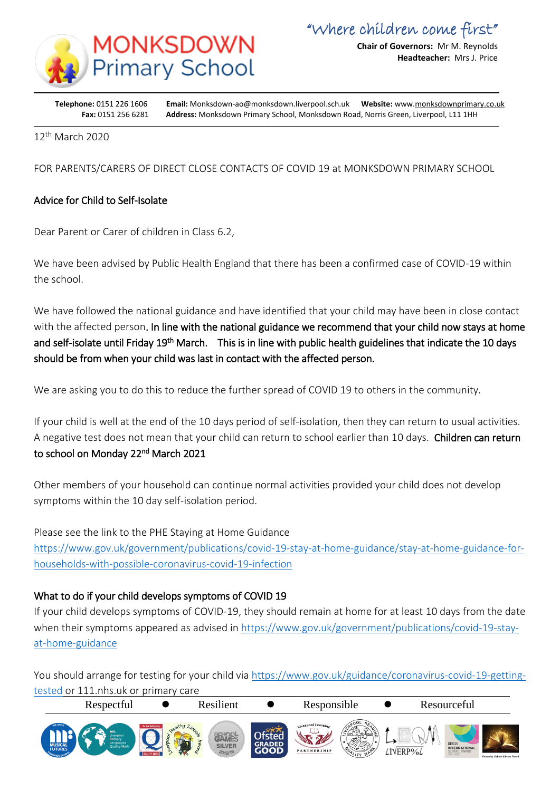

**Chair of Governors:** Mr M. Reynolds **Headteacher:** Mrs J. Price

**Telephone:** 0151 226 1606 **Email:** Monksdown-ao@monksdown.liverpool.sch.uk **Website:** www[.monksdownprimary.co.uk](http://www.monksdownprimary.co.uk/) **Fax:** 0151 256 6281 **Address:** Monksdown Primary School, Monksdown Road, Norris Green, Liverpool, L11 1HH

12th March 2020

i

FOR PARENTS/CARERS OF DIRECT CLOSE CONTACTS OF COVID 19 at MONKSDOWN PRIMARY SCHOOL

# Advice for Child to Self-Isolate

Dear Parent or Carer of children in Class 6.2,

We have been advised by Public Health England that there has been a confirmed case of COVID-19 within the school.

We have followed the national guidance and have identified that your child may have been in close contact with the affected person. In line with the national guidance we recommend that your child now stays at home and self-isolate until Friday 19<sup>th</sup> March. This is in line with public health guidelines that indicate the 10 days should be from when your child was last in contact with the affected person.

We are asking you to do this to reduce the further spread of COVID 19 to others in the community.

If your child is well at the end of the 10 days period of self-isolation, then they can return to usual activities. A negative test does not mean that your child can return to school earlier than 10 days. Children can return to school on Monday 22<sup>nd</sup> March 2021

Other members of your household can continue normal activities provided your child does not develop symptoms within the 10 day self-isolation period.

Please see the link to the PHE Staying at Home Guidance

[https://www.gov.uk/government/publications/covid-19-stay-at-home-guidance/stay-at-home-guidance-for](https://www.gov.uk/government/publications/covid-19-stay-at-home-guidance/stay-at-home-guidance-for-households-with-possible-coronavirus-covid-19-infection)[households-with-possible-coronavirus-covid-19-infection](https://www.gov.uk/government/publications/covid-19-stay-at-home-guidance/stay-at-home-guidance-for-households-with-possible-coronavirus-covid-19-infection)

# What to do if your child develops symptoms of COVID 19

If your child develops symptoms of COVID-19, they should remain at home for at least 10 days from the date when their symptoms appeared as advised in [https://www.gov.uk/government/publications/covid-19-stay](https://www.gov.uk/government/publications/covid-19-stay-at-home-guidance)[at-home-guidance](https://www.gov.uk/government/publications/covid-19-stay-at-home-guidance)

You should arrange for testing for your child via [https://www.gov.uk/guidance/coronavirus-covid-19-getting](https://www.gov.uk/guidance/coronavirus-covid-19-getting-tested)[tested](https://www.gov.uk/guidance/coronavirus-covid-19-getting-tested) or 111.nhs.uk or primary care